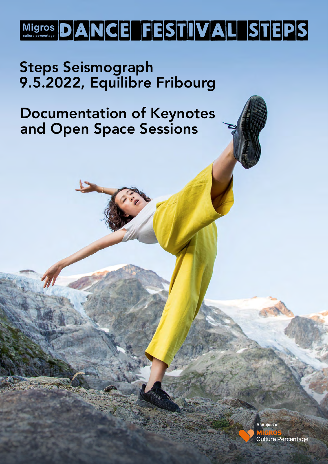## Migros DANCE FESTIVALISTEPS

### Steps Seismograph 9.5.2022, Equilibre Fribourg

### Documentation of Keynotes and Open Space Sessions

A project of **Culture Percentage**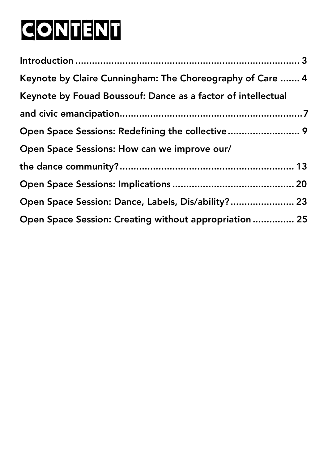# CONTENT

| Keynote by Claire Cunningham: The Choreography of Care  4    |  |
|--------------------------------------------------------------|--|
| Keynote by Fouad Boussouf: Dance as a factor of intellectual |  |
|                                                              |  |
|                                                              |  |
| Open Space Sessions: How can we improve our/                 |  |
|                                                              |  |
|                                                              |  |
| Open Space Session: Dance, Labels, Dis/ability? 23           |  |
| Open Space Session: Creating without appropriation  25       |  |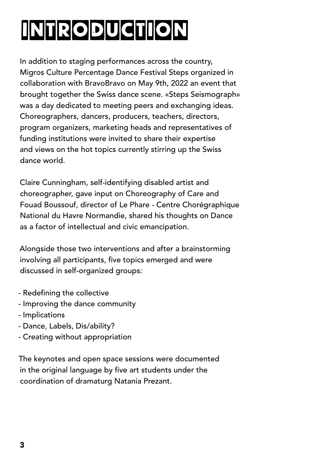# INTRODUCTION

In addition to staging performances across the country, Migros Culture Percentage Dance Festival Steps organized in collaboration with BravoBravo on May 9th, 2022 an event that brought together the Swiss dance scene. «Steps Seismograph» was a day dedicated to meeting peers and exchanging ideas. Choreographers, dancers, producers, teachers, directors, program organizers, marketing heads and representatives of funding institutions were invited to share their expertise and views on the hot topics currently stirring up the Swiss dance world.

Claire Cunningham, self-identifying disabled artist and choreographer, gave input on Choreography of Care and Fouad Boussouf, director of Le Phare - Centre Chorégraphique National du Havre Normandie, shared his thoughts on Dance as a factor of intellectual and civic emancipation.

Alongside those two interventions and after a brainstorming involving all participants, five topics emerged and were discussed in self-organized groups:

- Redefining the collective
- Improving the dance community
- Implications
- Dance, Labels, Dis/ability?
- Creating without appropriation

The keynotes and open space sessions were documented in the original language by five art students under the coordination of dramaturg Natania Prezant.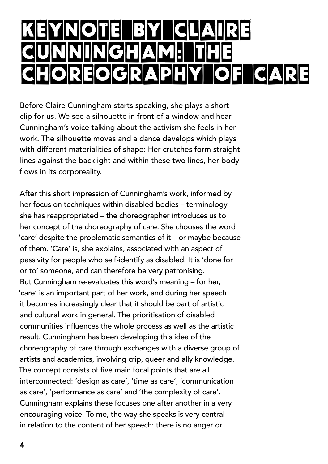## KEYNOTE BY CLAIRE UNGHAM: THE<br>FOGRAPHYLOF EOGRAPHY OF CAR

Before Claire Cunningham starts speaking, she plays a short clip for us. We see a silhouette in front of a window and hear Cunningham's voice talking about the activism she feels in her work. The silhouette moves and a dance develops which plays with different materialities of shape: Her crutches form straight lines against the backlight and within these two lines, her body flows in its corporeality.

After this short impression of Cunningham's work, informed by her focus on techniques within disabled bodies – terminology she has reappropriated – the choreographer introduces us to her concept of the choreography of care. She chooses the word 'care' despite the problematic semantics of it – or maybe because of them. 'Care' is, she explains, associated with an aspect of passivity for people who self-identify as disabled. It is 'done for or to' someone, and can therefore be very patronising. But Cunningham re-evaluates this word's meaning – for her, 'care' is an important part of her work, and during her speech it becomes increasingly clear that it should be part of artistic and cultural work in general. The prioritisation of disabled communities influences the whole process as well as the artistic result. Cunningham has been developing this idea of the choreography of care through exchanges with a diverse group of artists and academics, involving crip, queer and ally knowledge. The concept consists of five main focal points that are all interconnected: 'design as care', 'time as care', 'communication as care', 'performance as care' and 'the complexity of care'. Cunningham explains these focuses one after another in a very encouraging voice. To me, the way she speaks is very central in relation to the content of her speech: there is no anger or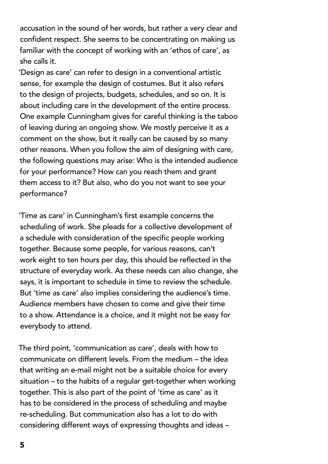accusation in the sound of her words, but rather a very clear and confident respect. She seems to be concentrating on making us familiar with the concept of working with an 'ethos of care', as she calls it.

'Design as care' can refer to design in a conventional artistic sense, for example the design of costumes. But it also refers to the design of projects, budgets, schedules, and so on. It is about including care in the development of the entire process. One example Cunningham gives for careful thinking is the taboo of leaving during an ongoing show. We mostly perceive it as a comment on the show, but it really can be caused by so many other reasons. When you follow the aim of designing with care, the following questions may arise: Who is the intended audience for your performance? How can you reach them and grant them access to it? But also, who do you not want to see your performance?

'Time as care' in Cunningham's first example concerns the scheduling of work. She pleads for a collective development of a schedule with consideration of the specific people working together. Because some people, for various reasons, can't work eight to ten hours per day, this should be reflected in the structure of everyday work. As these needs can also change, she says, it is important to schedule in time to review the schedule. But 'time as care' also implies considering the audience's time. Audience members have chosen to come and give their time to a show. Attendance is a choice, and it might not be easy for everybody to attend.

The third point, 'communication as care', deals with how to communicate on different levels. From the medium – the idea that writing an e-mail might not be a suitable choice for every situation – to the habits of a regular get-together when working together. This is also part of the point of 'time as care' as it has to be considered in the process of scheduling and maybe re-scheduling. But communication also has a lot to do with considering different ways of expressing thoughts and ideas –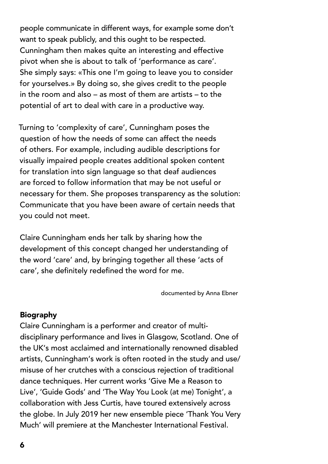people communicate in different ways, for example some don't want to speak publicly, and this ought to be respected. Cunningham then makes quite an interesting and effective pivot when she is about to talk of 'performance as care'. She simply says: «This one I'm going to leave you to consider for yourselves.» By doing so, she gives credit to the people in the room and also – as most of them are artists – to the potential of art to deal with care in a productive way.

Turning to 'complexity of care', Cunningham poses the question of how the needs of some can affect the needs of others. For example, including audible descriptions for visually impaired people creates additional spoken content for translation into sign language so that deaf audiences are forced to follow information that may be not useful or necessary for them. She proposes transparency as the solution: Communicate that you have been aware of certain needs that you could not meet.

Claire Cunningham ends her talk by sharing how the development of this concept changed her understanding of the word 'care' and, by bringing together all these 'acts of care', she definitely redefined the word for me.

documented by Anna Ebner

#### Biography

Claire Cunningham is a performer and creator of multidisciplinary performance and lives in Glasgow, Scotland. One of the UK's most acclaimed and internationally renowned disabled artists, Cunningham's work is often rooted in the study and use/ misuse of her crutches with a conscious rejection of traditional dance techniques. Her current works 'Give Me a Reason to Live', 'Guide Gods' and 'The Way You Look (at me) Tonight', a collaboration with Jess Curtis, have toured extensively across the globe. In July 2019 her new ensemble piece 'Thank You Very Much' will premiere at the Manchester International Festival.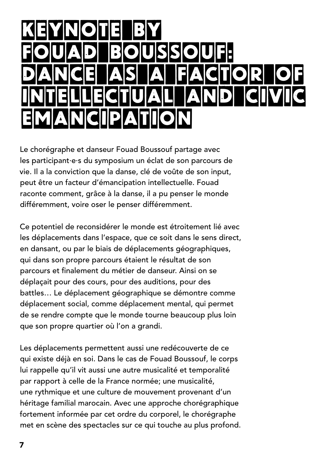## KEYNOTE BY FOUAD BOUSSOUF: DANCE AS A FACTOR OF intellectual and civic emancipation

Le chorégraphe et danseur Fouad Boussouf partage avec les participant·e·s du symposium un éclat de son parcours de vie. Il a la conviction que la danse, clé de voûte de son input, peut être un facteur d'émancipation intellectuelle. Fouad raconte comment, grâce à la danse, il a pu penser le monde différemment, voire oser le penser différemment.

Ce potentiel de reconsidérer le monde est étroitement lié avec les déplacements dans l'espace, que ce soit dans le sens direct, en dansant, ou par le biais de déplacements géographiques, qui dans son propre parcours étaient le résultat de son parcours et finalement du métier de danseur. Ainsi on se déplaçait pour des cours, pour des auditions, pour des battles… Le déplacement géographique se démontre comme déplacement social, comme déplacement mental, qui permet de se rendre compte que le monde tourne beaucoup plus loin que son propre quartier où l'on a grandi.

Les déplacements permettent aussi une redécouverte de ce qui existe déjà en soi. Dans le cas de Fouad Boussouf, le corps lui rappelle qu'il vit aussi une autre musicalité et temporalité par rapport à celle de la France normée; une musicalité, une rythmique et une culture de mouvement provenant d'un héritage familial marocain. Avec une approche chorégraphique fortement informée par cet ordre du corporel, le chorégraphe met en scène des spectacles sur ce qui touche au plus profond.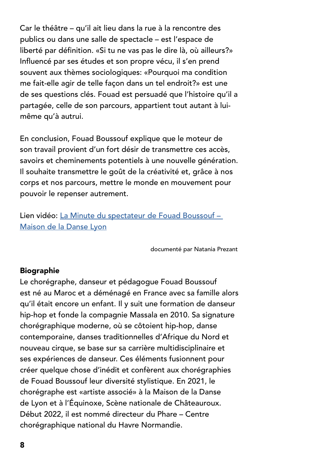Car le théâtre – qu'il ait lieu dans la rue à la rencontre des publics ou dans une salle de spectacle – est l'espace de liberté par définition. «Si tu ne vas pas le dire là, où ailleurs?» Influencé par ses études et son propre vécu, il s'en prend souvent aux thèmes sociologiques: «Pourquoi ma condition me fait-elle agir de telle façon dans un tel endroit?» est une de ses questions clés. Fouad est persuadé que l'histoire qu'il a partagée, celle de son parcours, appartient tout autant à luimême qu'à autrui.

En conclusion, Fouad Boussouf explique que le moteur de son travail provient d'un fort désir de transmettre ces accès, savoirs et cheminements potentiels à une nouvelle génération. Il souhaite transmettre le goût de la créativité et, grâce à nos corps et nos parcours, mettre le monde en mouvement pour pouvoir le repenser autrement.

Lien vidéo: [La Minute du spectateur de Fouad Boussouf –](https://www.youtube.com/watch?v=o0wLHT9yXTU)  [Maison de la Danse Lyon](https://www.youtube.com/watch?v=o0wLHT9yXTU)

documenté par Natania Prezant

#### Biographie

Le chorégraphe, danseur et pédagogue Fouad Boussouf est né au Maroc et a déménagé en France avec sa famille alors qu'il était encore un enfant. Il y suit une formation de danseur hip-hop et fonde la compagnie Massala en 2010. Sa signature chorégraphique moderne, où se côtoient hip-hop, danse contemporaine, danses traditionnelles d'Afrique du Nord et nouveau cirque, se base sur sa carrière multidisciplinaire et ses expériences de danseur. Ces éléments fusionnent pour créer quelque chose d'inédit et confèrent aux chorégraphies de Fouad Boussouf leur diversité stylistique. En 2021, le chorégraphe est «artiste associé» à la Maison de la Danse de Lyon et à l'Équinoxe, Scène nationale de Châteauroux. Début 2022, il est nommé directeur du Phare – Centre chorégraphique national du Havre Normandie.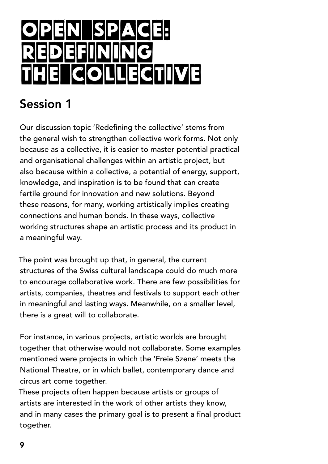## **SPACE: REDEFINING<br>FIEL GOLLEG COLLECTIVE**

### Session 1

Our discussion topic 'Redefining the collective' stems from the general wish to strengthen collective work forms. Not only because as a collective, it is easier to master potential practical and organisational challenges within an artistic project, but also because within a collective, a potential of energy, support, knowledge, and inspiration is to be found that can create fertile ground for innovation and new solutions. Beyond these reasons, for many, working artistically implies creating connections and human bonds. In these ways, collective working structures shape an artistic process and its product in a meaningful way.

The point was brought up that, in general, the current structures of the Swiss cultural landscape could do much more to encourage collaborative work. There are few possibilities for artists, companies, theatres and festivals to support each other in meaningful and lasting ways. Meanwhile, on a smaller level, there is a great will to collaborate.

For instance, in various projects, artistic worlds are brought together that otherwise would not collaborate. Some examples mentioned were projects in which the 'Freie Szene' meets the National Theatre, or in which ballet, contemporary dance and circus art come together.

These projects often happen because artists or groups of artists are interested in the work of other artists they know, and in many cases the primary goal is to present a final product together.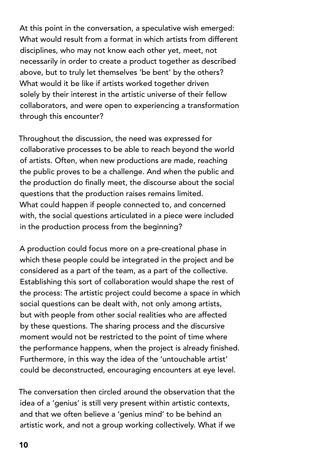At this point in the conversation, a speculative wish emerged: What would result from a format in which artists from different disciplines, who may not know each other yet, meet, not necessarily in order to create a product together as described above, but to truly let themselves 'be bent' by the others? What would it be like if artists worked together driven solely by their interest in the artistic universe of their fellow collaborators, and were open to experiencing a transformation through this encounter?

Throughout the discussion, the need was expressed for collaborative processes to be able to reach beyond the world of artists. Often, when new productions are made, reaching the public proves to be a challenge. And when the public and the production do finally meet, the discourse about the social questions that the production raises remains limited. What could happen if people connected to, and concerned with, the social questions articulated in a piece were included in the production process from the beginning?

A production could focus more on a pre-creational phase in which these people could be integrated in the project and be considered as a part of the team, as a part of the collective. Establishing this sort of collaboration would shape the rest of the process: The artistic project could become a space in which social questions can be dealt with, not only among artists, but with people from other social realities who are affected by these questions. The sharing process and the discursive moment would not be restricted to the point of time where the performance happens, when the project is already finished. Furthermore, in this way the idea of the 'untouchable artist' could be deconstructed, encouraging encounters at eye level.

The conversation then circled around the observation that the idea of a 'genius' is still very present within artistic contexts, and that we often believe a 'genius mind' to be behind an artistic work, and not a group working collectively. What if we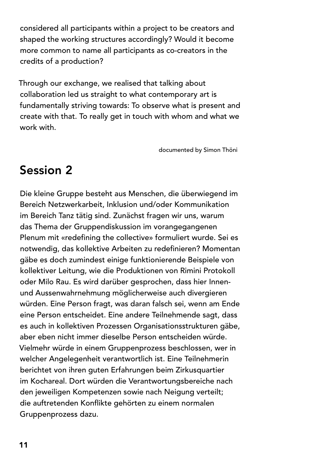considered all participants within a project to be creators and shaped the working structures accordingly? Would it become more common to name all participants as co-creators in the credits of a production?

Through our exchange, we realised that talking about collaboration led us straight to what contemporary art is fundamentally striving towards: To observe what is present and create with that. To really get in touch with whom and what we work with.

documented by Simon Thöni

### Session 2

Die kleine Gruppe besteht aus Menschen, die überwiegend im Bereich Netzwerkarbeit, Inklusion und/oder Kommunikation im Bereich Tanz tätig sind. Zunächst fragen wir uns, warum das Thema der Gruppendiskussion im vorangegangenen Plenum mit «redefining the collective» formuliert wurde. Sei es notwendig, das kollektive Arbeiten zu redefinieren? Momentan gäbe es doch zumindest einige funktionierende Beispiele von kollektiver Leitung, wie die Produktionen von Rimini Protokoll oder Milo Rau. Es wird darüber gesprochen, dass hier Innenund Aussenwahrnehmung möglicherweise auch divergieren würden. Eine Person fragt, was daran falsch sei, wenn am Ende eine Person entscheidet. Eine andere Teilnehmende sagt, dass es auch in kollektiven Prozessen Organisationsstrukturen gäbe, aber eben nicht immer dieselbe Person entscheiden würde. Vielmehr würde in einem Gruppenprozess beschlossen, wer in welcher Angelegenheit verantwortlich ist. Eine Teilnehmerin berichtet von ihren guten Erfahrungen beim Zirkusquartier im Kochareal. Dort würden die Verantwortungsbereiche nach den jeweiligen Kompetenzen sowie nach Neigung verteilt; die auftretenden Konflikte gehörten zu einem normalen Gruppenprozess dazu.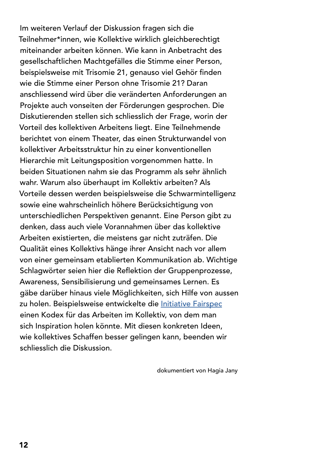Im weiteren Verlauf der Diskussion fragen sich die Teilnehmer\*innen, wie Kollektive wirklich gleichberechtigt miteinander arbeiten können. Wie kann in Anbetracht des gesellschaftlichen Machtgefälles die Stimme einer Person, beispielsweise mit Trisomie 21, genauso viel Gehör finden wie die Stimme einer Person ohne Trisomie 21? Daran anschliessend wird über die veränderten Anforderungen an Projekte auch vonseiten der Förderungen gesprochen. Die Diskutierenden stellen sich schliesslich der Frage, worin der Vorteil des kollektiven Arbeitens liegt. Eine Teilnehmende berichtet von einem Theater, das einen Strukturwandel von kollektiver Arbeitsstruktur hin zu einer konventionellen Hierarchie mit Leitungsposition vorgenommen hatte. In beiden Situationen nahm sie das Programm als sehr ähnlich wahr. Warum also überhaupt im Kollektiv arbeiten? Als Vorteile dessen werden beispielsweise die Schwarmintelligenz sowie eine wahrscheinlich höhere Berücksichtigung von unterschiedlichen Perspektiven genannt. Eine Person gibt zu denken, dass auch viele Vorannahmen über das kollektive Arbeiten existierten, die meistens gar nicht zuträfen. Die Qualität eines Kollektivs hänge ihrer Ansicht nach vor allem von einer gemeinsam etablierten Kommunikation ab. Wichtige Schlagwörter seien hier die Reflektion der Gruppenprozesse, Awareness, Sensibilisierung und gemeinsames Lernen. Es gäbe darüber hinaus viele Möglichkeiten, sich Hilfe von aussen zu holen. Beispielsweise entwickelte die *Initiative Fairspec* einen Kodex für das Arbeiten im Kollektiv, von dem man sich Inspiration holen könnte. Mit diesen konkreten Ideen, wie kollektives Schaffen besser gelingen kann, beenden wir schliesslich die Diskussion.

dokumentiert von Hagia Jany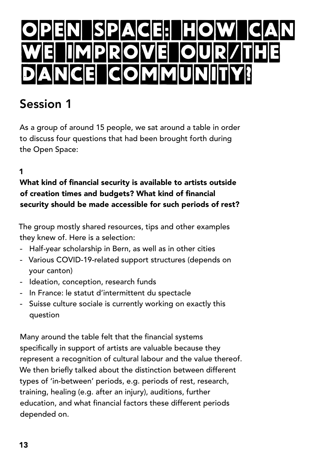## <u>Open Space: How can</u> <u>we improve our/the</u> icioimimi

### Session 1

As a group of around 15 people, we sat around a table in order to discuss four questions that had been brought forth during the Open Space:

#### 1

What kind of financial security is available to artists outside of creation times and budgets? What kind of financial security should be made accessible for such periods of rest?

The group mostly shared resources, tips and other examples they knew of. Here is a selection:

- Half-year scholarship in Bern, as well as in other cities
- Various COVID-19-related support structures (depends on your canton)
- Ideation, conception, research funds
- In France: le statut d'intermittent du spectacle
- Suisse culture sociale is currently working on exactly this question

Many around the table felt that the financial systems specifically in support of artists are valuable because they represent a recognition of cultural labour and the value thereof. We then briefly talked about the distinction between different types of 'in-between' periods, e.g. periods of rest, research, training, healing (e.g. after an injury), auditions, further education, and what financial factors these different periods depended on.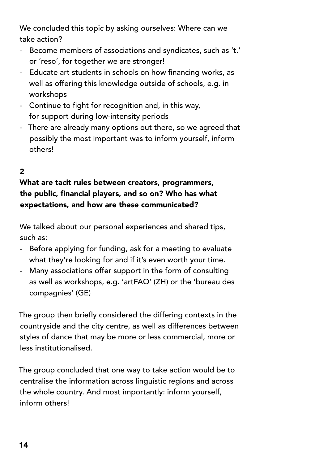We concluded this topic by asking ourselves: Where can we take action?

- Become members of associations and syndicates, such as 't.' or 'reso', for together we are stronger!
- Educate art students in schools on how financing works, as well as offering this knowledge outside of schools, e.g. in workshops
- Continue to fight for recognition and, in this way, for support during low-intensity periods
- There are already many options out there, so we agreed that possibly the most important was to inform yourself, inform others!

#### 2

#### What are tacit rules between creators, programmers, the public, financial players, and so on? Who has what expectations, and how are these communicated?

We talked about our personal experiences and shared tips, such as:

- Before applying for funding, ask for a meeting to evaluate what they're looking for and if it's even worth your time.
- Many associations offer support in the form of consulting as well as workshops, e.g. 'artFAQ' (ZH) or the 'bureau des compagnies' (GE)

The group then briefly considered the differing contexts in the countryside and the city centre, as well as differences between styles of dance that may be more or less commercial, more or less institutionalised.

The group concluded that one way to take action would be to centralise the information across linguistic regions and across the whole country. And most importantly: inform yourself, inform others!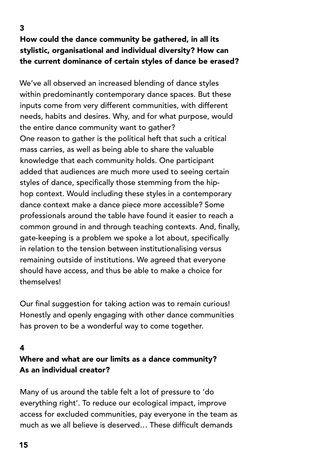#### 3 How could the dance community be gathered, in all its stylistic, organisational and individual diversity? How can the current dominance of certain styles of dance be erased?

We've all observed an increased blending of dance styles within predominantly contemporary dance spaces. But these inputs come from very different communities, with different needs, habits and desires. Why, and for what purpose, would the entire dance community want to gather? One reason to gather is the political heft that such a critical mass carries, as well as being able to share the valuable knowledge that each community holds. One participant added that audiences are much more used to seeing certain styles of dance, specifically those stemming from the hiphop context. Would including these styles in a contemporary dance context make a dance piece more accessible? Some professionals around the table have found it easier to reach a common ground in and through teaching contexts. And, finally, gate-keeping is a problem we spoke a lot about, specifically in relation to the tension between institutionalising versus remaining outside of institutions. We agreed that everyone should have access, and thus be able to make a choice for themselves!

Our final suggestion for taking action was to remain curious! Honestly and openly engaging with other dance communities has proven to be a wonderful way to come together.

#### 4

#### Where and what are our limits as a dance community? As an individual creator?

Many of us around the table felt a lot of pressure to 'do everything right'. To reduce our ecological impact, improve access for excluded communities, pay everyone in the team as much as we all believe is deserved… These difficult demands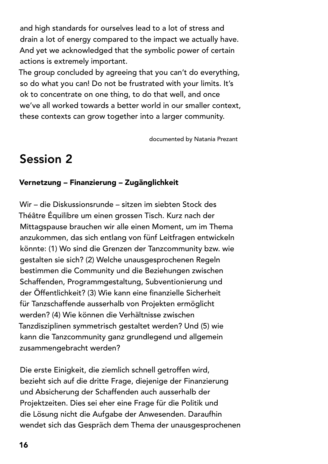and high standards for ourselves lead to a lot of stress and drain a lot of energy compared to the impact we actually have. And yet we acknowledged that the symbolic power of certain actions is extremely important.

The group concluded by agreeing that you can't do everything, so do what you can! Do not be frustrated with your limits. It's ok to concentrate on one thing, to do that well, and once we've all worked towards a better world in our smaller context, these contexts can grow together into a larger community.

documented by Natania Prezant

### Session 2

#### Vernetzung – Finanzierung – Zugänglichkeit

Wir – die Diskussionsrunde – sitzen im siebten Stock des Théâtre Équilibre um einen grossen Tisch. Kurz nach der Mittagspause brauchen wir alle einen Moment, um im Thema anzukommen, das sich entlang von fünf Leitfragen entwickeln könnte: (1) Wo sind die Grenzen der Tanzcommunity bzw. wie gestalten sie sich? (2) Welche unausgesprochenen Regeln bestimmen die Community und die Beziehungen zwischen Schaffenden, Programmgestaltung, Subventionierung und der Öffentlichkeit? (3) Wie kann eine finanzielle Sicherheit für Tanzschaffende ausserhalb von Projekten ermöglicht werden? (4) Wie können die Verhältnisse zwischen Tanzdisziplinen symmetrisch gestaltet werden? Und (5) wie kann die Tanzcommunity ganz grundlegend und allgemein zusammengebracht werden?

Die erste Einigkeit, die ziemlich schnell getroffen wird, bezieht sich auf die dritte Frage, diejenige der Finanzierung und Absicherung der Schaffenden auch ausserhalb der Projektzeiten. Dies sei eher eine Frage für die Politik und die Lösung nicht die Aufgabe der Anwesenden. Daraufhin wendet sich das Gespräch dem Thema der unausgesprochenen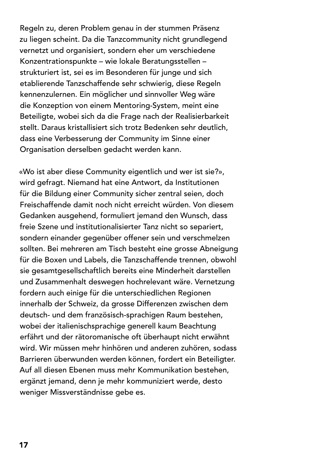Regeln zu, deren Problem genau in der stummen Präsenz zu liegen scheint. Da die Tanzcommunity nicht grundlegend vernetzt und organisiert, sondern eher um verschiedene Konzentrationspunkte – wie lokale Beratungsstellen – strukturiert ist, sei es im Besonderen für junge und sich etablierende Tanzschaffende sehr schwierig, diese Regeln kennenzulernen. Ein möglicher und sinnvoller Weg wäre die Konzeption von einem Mentoring-System, meint eine Beteiligte, wobei sich da die Frage nach der Realisierbarkeit stellt. Daraus kristallisiert sich trotz Bedenken sehr deutlich, dass eine Verbesserung der Community im Sinne einer Organisation derselben gedacht werden kann.

«Wo ist aber diese Community eigentlich und wer ist sie?», wird gefragt. Niemand hat eine Antwort, da Institutionen für die Bildung einer Community sicher zentral seien, doch Freischaffende damit noch nicht erreicht würden. Von diesem Gedanken ausgehend, formuliert jemand den Wunsch, dass freie Szene und institutionalisierter Tanz nicht so separiert, sondern einander gegenüber offener sein und verschmelzen sollten. Bei mehreren am Tisch besteht eine grosse Abneigung für die Boxen und Labels, die Tanzschaffende trennen, obwohl sie gesamtgesellschaftlich bereits eine Minderheit darstellen und Zusammenhalt deswegen hochrelevant wäre. Vernetzung fordern auch einige für die unterschiedlichen Regionen innerhalb der Schweiz, da grosse Differenzen zwischen dem deutsch- und dem französisch-sprachigen Raum bestehen, wobei der italienischsprachige generell kaum Beachtung erfährt und der rätoromanische oft überhaupt nicht erwähnt wird. Wir müssen mehr hinhören und anderen zuhören, sodass Barrieren überwunden werden können, fordert ein Beteiligter. Auf all diesen Ebenen muss mehr Kommunikation bestehen, ergänzt jemand, denn je mehr kommuniziert werde, desto weniger Missverständnisse gebe es.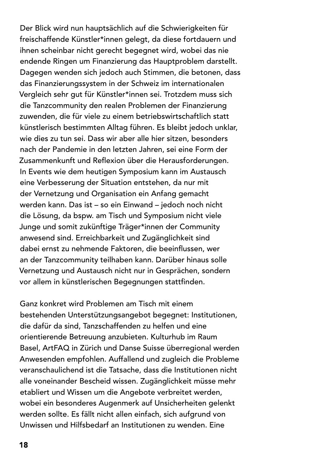Der Blick wird nun hauptsächlich auf die Schwierigkeiten für freischaffende Künstler\*innen gelegt, da diese fortdauern und ihnen scheinbar nicht gerecht begegnet wird, wobei das nie endende Ringen um Finanzierung das Hauptproblem darstellt. Dagegen wenden sich jedoch auch Stimmen, die betonen, dass das Finanzierungssystem in der Schweiz im internationalen Vergleich sehr gut für Künstler\*innen sei. Trotzdem muss sich die Tanzcommunity den realen Problemen der Finanzierung zuwenden, die für viele zu einem betriebswirtschaftlich statt künstlerisch bestimmten Alltag führen. Es bleibt jedoch unklar, wie dies zu tun sei. Dass wir aber alle hier sitzen, besonders nach der Pandemie in den letzten Jahren, sei eine Form der Zusammenkunft und Reflexion über die Herausforderungen. In Events wie dem heutigen Symposium kann im Austausch eine Verbesserung der Situation entstehen, da nur mit der Vernetzung und Organisation ein Anfang gemacht werden kann. Das ist – so ein Einwand – jedoch noch nicht die Lösung, da bspw. am Tisch und Symposium nicht viele Junge und somit zukünftige Träger\*innen der Community anwesend sind. Erreichbarkeit und Zugänglichkeit sind dabei ernst zu nehmende Faktoren, die beeinflussen, wer an der Tanzcommunity teilhaben kann. Darüber hinaus solle Vernetzung und Austausch nicht nur in Gesprächen, sondern vor allem in künstlerischen Begegnungen stattfinden.

Ganz konkret wird Problemen am Tisch mit einem bestehenden Unterstützungsangebot begegnet: Institutionen, die dafür da sind, Tanzschaffenden zu helfen und eine orientierende Betreuung anzubieten. Kulturhub im Raum Basel, ArtFAQ in Zürich und Danse Suisse überregional werden Anwesenden empfohlen. Auffallend und zugleich die Probleme veranschaulichend ist die Tatsache, dass die Institutionen nicht alle voneinander Bescheid wissen. Zugänglichkeit müsse mehr etabliert und Wissen um die Angebote verbreitet werden, wobei ein besonderes Augenmerk auf Unsicherheiten gelenkt werden sollte. Es fällt nicht allen einfach, sich aufgrund von Unwissen und Hilfsbedarf an Institutionen zu wenden. Eine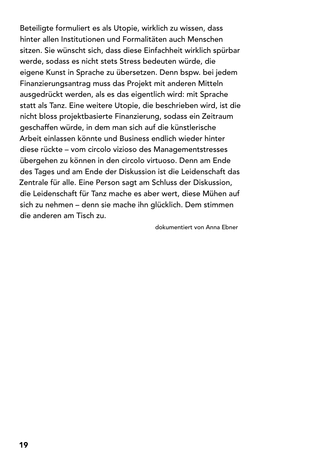Beteiligte formuliert es als Utopie, wirklich zu wissen, dass hinter allen Institutionen und Formalitäten auch Menschen sitzen. Sie wünscht sich, dass diese Einfachheit wirklich spürbar werde, sodass es nicht stets Stress bedeuten würde, die eigene Kunst in Sprache zu übersetzen. Denn bspw. bei jedem Finanzierungsantrag muss das Projekt mit anderen Mitteln ausgedrückt werden, als es das eigentlich wird: mit Sprache statt als Tanz. Eine weitere Utopie, die beschrieben wird, ist die nicht bloss projektbasierte Finanzierung, sodass ein Zeitraum geschaffen würde, in dem man sich auf die künstlerische Arbeit einlassen könnte und Business endlich wieder hinter diese rückte – vom circolo vizioso des Managementstresses übergehen zu können in den circolo virtuoso. Denn am Ende des Tages und am Ende der Diskussion ist die Leidenschaft das Zentrale für alle. Eine Person sagt am Schluss der Diskussion, die Leidenschaft für Tanz mache es aber wert, diese Mühen auf sich zu nehmen – denn sie mache ihn glücklich. Dem stimmen die anderen am Tisch zu.

dokumentiert von Anna Ebner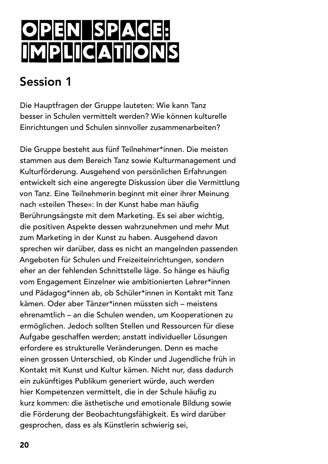## OPEN SPACE: Implications

### Session 1

Die Hauptfragen der Gruppe lauteten: Wie kann Tanz besser in Schulen vermittelt werden? Wie können kulturelle Einrichtungen und Schulen sinnvoller zusammenarbeiten?

Die Gruppe besteht aus fünf Teilnehmer\*innen. Die meisten stammen aus dem Bereich Tanz sowie Kulturmanagement und Kulturförderung. Ausgehend von persönlichen Erfahrungen entwickelt sich eine angeregte Diskussion über die Vermittlung von Tanz. Eine Teilnehmerin beginnt mit einer ihrer Meinung nach «steilen These»: In der Kunst habe man häufig Berührungsängste mit dem Marketing. Es sei aber wichtig, die positiven Aspekte dessen wahrzunehmen und mehr Mut zum Marketing in der Kunst zu haben. Ausgehend davon sprechen wir darüber, dass es nicht an mangelnden passenden Angeboten für Schulen und Freizeiteinrichtungen, sondern eher an der fehlenden Schnittstelle läge. So hänge es häufig vom Engagement Einzelner wie ambitionierten Lehrer\*innen und Pädagog\*innen ab, ob Schüler\*innen in Kontakt mit Tanz kämen. Oder aber Tänzer\*innen müssten sich – meistens ehrenamtlich – an die Schulen wenden, um Kooperationen zu ermöglichen. Jedoch sollten Stellen und Ressourcen für diese Aufgabe geschaffen werden; anstatt individueller Lösungen erfordere es strukturelle Veränderungen. Denn es mache einen grossen Unterschied, ob Kinder und Jugendliche früh in Kontakt mit Kunst und Kultur kämen. Nicht nur, dass dadurch ein zukünftiges Publikum generiert würde, auch werden hier Kompetenzen vermittelt, die in der Schule häufig zu kurz kommen: die ästhetische und emotionale Bildung sowie die Förderung der Beobachtungsfähigkeit. Es wird darüber gesprochen, dass es als Künstlerin schwierig sei,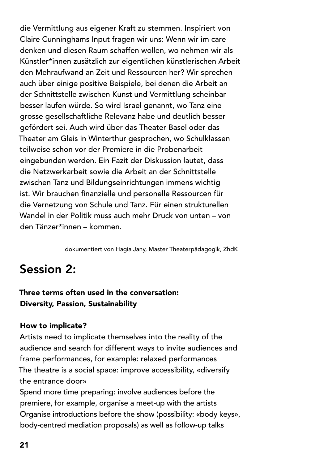die Vermittlung aus eigener Kraft zu stemmen. Inspiriert von Claire Cunninghams Input fragen wir uns: Wenn wir im care denken und diesen Raum schaffen wollen, wo nehmen wir als Künstler\*innen zusätzlich zur eigentlichen künstlerischen Arbeit den Mehraufwand an Zeit und Ressourcen her? Wir sprechen auch über einige positive Beispiele, bei denen die Arbeit an der Schnittstelle zwischen Kunst und Vermittlung scheinbar besser laufen würde. So wird Israel genannt, wo Tanz eine grosse gesellschaftliche Relevanz habe und deutlich besser gefördert sei. Auch wird über das Theater Basel oder das Theater am Gleis in Winterthur gesprochen, wo Schulklassen teilweise schon vor der Premiere in die Probenarbeit eingebunden werden. Ein Fazit der Diskussion lautet, dass die Netzwerkarbeit sowie die Arbeit an der Schnittstelle zwischen Tanz und Bildungseinrichtungen immens wichtig ist. Wir brauchen finanzielle und personelle Ressourcen für die Vernetzung von Schule und Tanz. Für einen strukturellen Wandel in der Politik muss auch mehr Druck von unten – von den Tänzer\*innen – kommen.

dokumentiert von Hagia Jany, Master Theaterpädagogik, ZhdK

### Session 2:

#### Three terms often used in the conversation: Diversity, Passion, Sustainability

#### How to implicate?

Artists need to implicate themselves into the reality of the audience and search for different ways to invite audiences and frame performances, for example: relaxed performances The theatre is a social space: improve accessibility, «diversify the entrance door»

Spend more time preparing: involve audiences before the premiere, for example, organise a meet-up with the artists Organise introductions before the show (possibility: «body keys», body-centred mediation proposals) as well as follow-up talks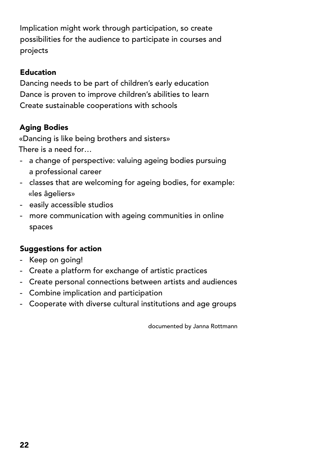Implication might work through participation, so create possibilities for the audience to participate in courses and projects

#### Education

Dancing needs to be part of children's early education Dance is proven to improve children's abilities to learn Create sustainable cooperations with schools

#### Aging Bodies

«Dancing is like being brothers and sisters» There is a need for…

- a change of perspective: valuing ageing bodies pursuing a professional career
- classes that are welcoming for ageing bodies, for example: «les âgeliers»
- easily accessible studios
- more communication with ageing communities in online spaces

#### Suggestions for action

- Keep on going!
- Create a platform for exchange of artistic practices
- Create personal connections between artists and audiences
- Combine implication and participation
- Cooperate with diverse cultural institutions and age groups

documented by Janna Rottmann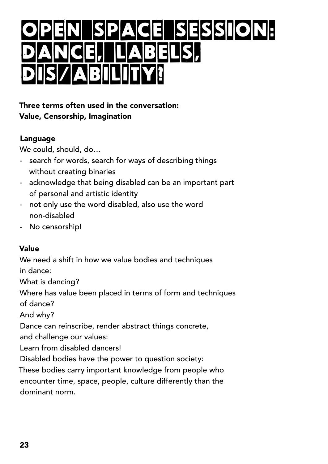## ACE SESSION:<br>Abelisi DANCE, LABELS, DIS/ABILITY!

#### Three terms often used in the conversation: Value, Censorship, Imagination

#### Language

We could, should, do…

- search for words, search for ways of describing things without creating binaries
- acknowledge that being disabled can be an important part of personal and artistic identity
- not only use the word disabled, also use the word non-disabled
- No censorship!

#### Value

We need a shift in how we value bodies and techniques in dance: What is dancing? Where has value been placed in terms of form and techniques of dance? And why? Dance can reinscribe, render abstract things concrete, and challenge our values: Learn from disabled dancers! Disabled bodies have the power to question society: These bodies carry important knowledge from people who encounter time, space, people, culture differently than the

dominant norm.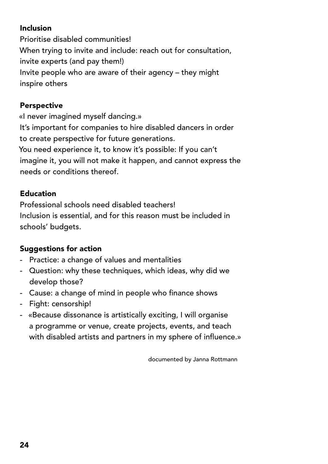#### Inclusion

Prioritise disabled communities! When trying to invite and include: reach out for consultation, invite experts (and pay them!) Invite people who are aware of their agency – they might inspire others

#### Perspective

«I never imagined myself dancing.» It's important for companies to hire disabled dancers in order to create perspective for future generations. You need experience it, to know it's possible: If you can't imagine it, you will not make it happen, and cannot express the needs or conditions thereof.

#### Education

Professional schools need disabled teachers! Inclusion is essential, and for this reason must be included in schools' budgets.

#### Suggestions for action

- Practice: a change of values and mentalities
- Question: why these techniques, which ideas, why did we develop those?
- Cause: a change of mind in people who finance shows
- Fight: censorship!
- «Because dissonance is artistically exciting, I will organise a programme or venue, create projects, events, and teach with disabled artists and partners in my sphere of influence.»

documented by Janna Rottmann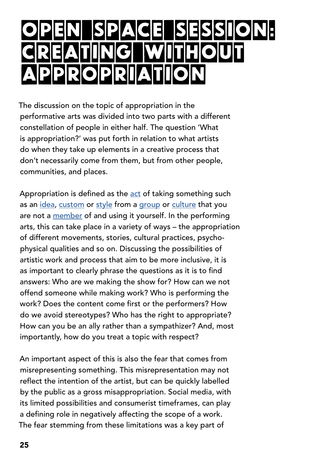## OPEN SPACE SESSION: **ATIING IW PPROPRIATIO**

The discussion on the topic of appropriation in the performative arts was divided into two parts with a different constellation of people in either half. The question 'What is appropriation?' was put forth in relation to what artists do when they take up elements in a creative process that don't necessarily come from them, but from other people, communities, and places.

Appropriation is defined as the [act](https://dictionary.cambridge.org/dictionary/english/act) of taking something such as an [idea](https://dictionary.cambridge.org/dictionary/english/idea), [custom](https://dictionary.cambridge.org/dictionary/english/custom) or [style](https://dictionary.cambridge.org/dictionary/english/style) from a [group](https://dictionary.cambridge.org/dictionary/english/group) or [culture](https://dictionary.cambridge.org/dictionary/english/culture) that you are not a [member](https://dictionary.cambridge.org/dictionary/english/member) of and using it yourself. In the performing arts, this can take place in a variety of ways – the appropriation of different movements, stories, cultural practices, psychophysical qualities and so on. Discussing the possibilities of artistic work and process that aim to be more inclusive, it is as important to clearly phrase the questions as it is to find answers: Who are we making the show for? How can we not offend someone while making work? Who is performing the work? Does the content come first or the performers? How do we avoid stereotypes? Who has the right to appropriate? How can you be an ally rather than a sympathizer? And, most importantly, how do you treat a topic with respect?

An important aspect of this is also the fear that comes from misrepresenting something. This misrepresentation may not reflect the intention of the artist, but can be quickly labelled by the public as a gross misappropriation. Social media, with its limited possibilities and consumerist timeframes, can play a defining role in negatively affecting the scope of a work. The fear stemming from these limitations was a key part of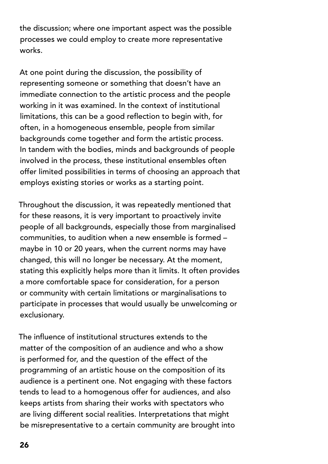the discussion; where one important aspect was the possible processes we could employ to create more representative works.

At one point during the discussion, the possibility of representing someone or something that doesn't have an immediate connection to the artistic process and the people working in it was examined. In the context of institutional limitations, this can be a good reflection to begin with, for often, in a homogeneous ensemble, people from similar backgrounds come together and form the artistic process. In tandem with the bodies, minds and backgrounds of people involved in the process, these institutional ensembles often offer limited possibilities in terms of choosing an approach that employs existing stories or works as a starting point.

Throughout the discussion, it was repeatedly mentioned that for these reasons, it is very important to proactively invite people of all backgrounds, especially those from marginalised communities, to audition when a new ensemble is formed – maybe in 10 or 20 years, when the current norms may have changed, this will no longer be necessary. At the moment, stating this explicitly helps more than it limits. It often provides a more comfortable space for consideration, for a person or community with certain limitations or marginalisations to participate in processes that would usually be unwelcoming or exclusionary.

The influence of institutional structures extends to the matter of the composition of an audience and who a show is performed for, and the question of the effect of the programming of an artistic house on the composition of its audience is a pertinent one. Not engaging with these factors tends to lead to a homogenous offer for audiences, and also keeps artists from sharing their works with spectators who are living different social realities. Interpretations that might be misrepresentative to a certain community are brought into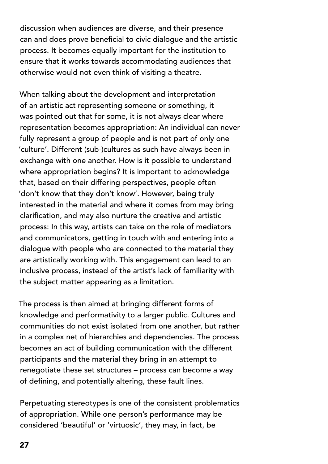discussion when audiences are diverse, and their presence can and does prove beneficial to civic dialogue and the artistic process. It becomes equally important for the institution to ensure that it works towards accommodating audiences that otherwise would not even think of visiting a theatre.

When talking about the development and interpretation of an artistic act representing someone or something, it was pointed out that for some, it is not always clear where representation becomes appropriation: An individual can never fully represent a group of people and is not part of only one 'culture'. Different (sub-)cultures as such have always been in exchange with one another. How is it possible to understand where appropriation begins? It is important to acknowledge that, based on their differing perspectives, people often 'don't know that they don't know'. However, being truly interested in the material and where it comes from may bring clarification, and may also nurture the creative and artistic process: In this way, artists can take on the role of mediators and communicators, getting in touch with and entering into a dialogue with people who are connected to the material they are artistically working with. This engagement can lead to an inclusive process, instead of the artist's lack of familiarity with the subject matter appearing as a limitation.

The process is then aimed at bringing different forms of knowledge and performativity to a larger public. Cultures and communities do not exist isolated from one another, but rather in a complex net of hierarchies and dependencies. The process becomes an act of building communication with the different participants and the material they bring in an attempt to renegotiate these set structures – process can become a way of defining, and potentially altering, these fault lines.

Perpetuating stereotypes is one of the consistent problematics of appropriation. While one person's performance may be considered 'beautiful' or 'virtuosic', they may, in fact, be